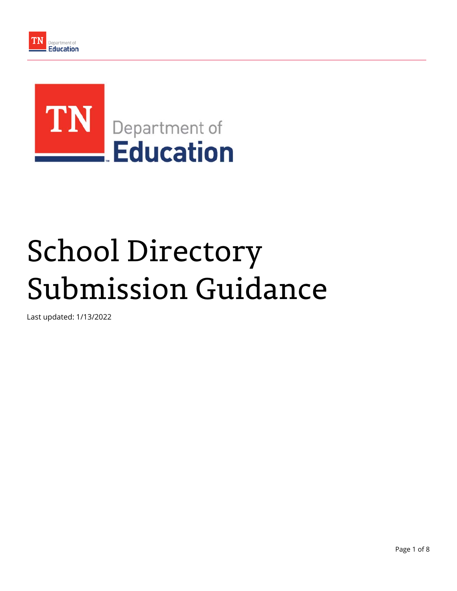

# School Directory Submission Guidance

Last updated: 1/13/2022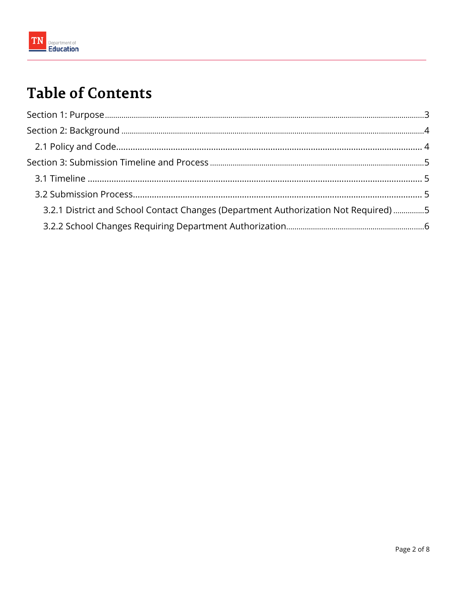

# **Table of Contents**

| 3.2.1 District and School Contact Changes (Department Authorization Not Required) 5 |  |
|-------------------------------------------------------------------------------------|--|
|                                                                                     |  |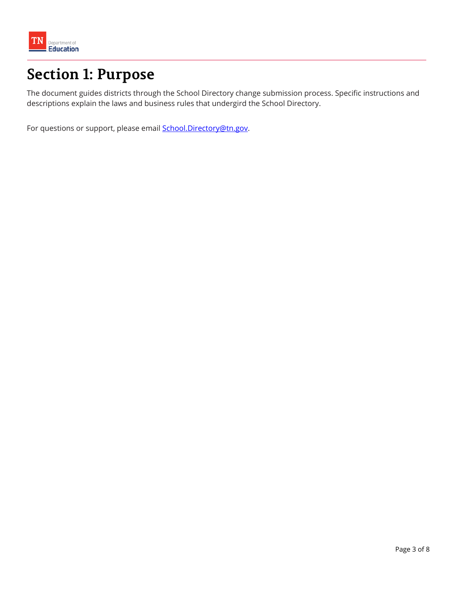<span id="page-2-0"></span>

# **Section 1: Purpose**

The document guides districts through the School Directory change submission process. Specific instructions and descriptions explain the laws and business rules that undergird the School Directory.

For questions or support, please email **School.Directory@tn.gov.**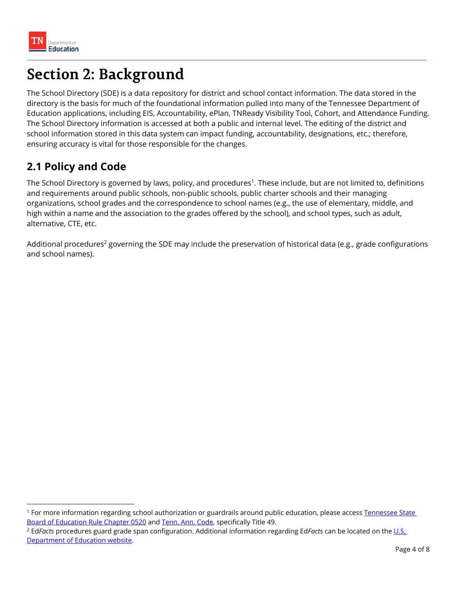# <span id="page-3-0"></span>**Section 2: Background**

The School Directory (SDE) is a data repository for district and school contact information. The data stored in the directory is the basis for much of the foundational information pulled into many of the Tennessee Department of Education applications, including EIS, Accountability, ePlan, TNReady Visibility Tool, Cohort, and Attendance Funding. The School Directory information is accessed at both a public and internal level. The editing of the district and school information stored in this data system can impact funding, accountability, designations, etc.; therefore, ensuring accuracy is vital for those responsible for the changes.

# **2.1 Policy and Code**

The School Directory is governed by laws, policy, and procedures<sup>1</sup>. These include, but are not limited to, definitions and requirements around public schools, non-public schools, public charter schools and their managing organizations, school grades and the correspondence to school names (e.g., the use of elementary, middle, and high within a name and the association to the grades offered by the school), and school types, such as adult, alternative, CTE, etc.

Additional procedures<sup>2</sup> governing the SDE may include the preservation of historical data (e.g., grade configurations and school names).

<sup>&</sup>lt;sup>1</sup> For more information regarding school authorization or guardrails around public education, please access Tennessee State Board of Education Rule Chapter 0520 and [Tenn. Ann. Code,](https://advance.lexis.com/container/?pdmfid=1000516&crid=aa9ef574-f502-489b-a433-a706a562af67&func=LN.Advance.ContentView.getFullToc&nodeid=ABX&typeofentry=Breadcrumb&config=014CJAA5ZGVhZjA3NS02MmMzLTRlZWQtOGJjNC00YzQ1MmZlNzc2YWYKAFBvZENhdGFsb2e9zYpNUjTRaIWVfyrur9ud&action=publictoc&pddocfullpath=%2Fshared%2Fdocument%2Fstatutes-legislation%2Furn%3AcontentItem%3A5618-6H50-R03M-C17H-00008-00&pdtocfullpath=%2Fshared%2Ftableofcontents%2Furn%3AcontentItem%3A8001-XKW0-Y907-33PJ-00008-00&ecomp=vs6fkkk&prid=1f76d708-6958-49e2-bf74-ce09e328ed40) specifically Title 49.

<sup>2</sup> Ed*Facts* [procedures guard grade span configuration. Additional information regarding Ed](https://www2.ed.gov/about/inits/ed/edfacts/index.html)*Facts* can be located on the U.S, Department of Education website.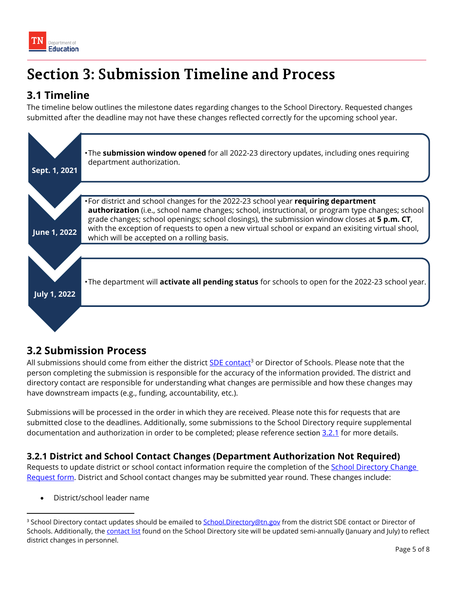<span id="page-4-0"></span>

# **Section 3: Submission Timeline and Process**

# **3.1 Timeline**

The timeline below outlines the milestone dates regarding changes to the School Directory. Requested changes submitted after the deadline may not have these changes reflected correctly for the upcoming school year.



## **3.2 Submission Process**

All submissions should come from either the district [SDE contact](https://k-12.education.tn.gov/sde/Contacts/ListDistrictContacts.asp)<sup>3</sup> or Director of Schools. Please note that the person completing the submission is responsible for the accuracy of the information provided. The district and directory contact are responsible for understanding what changes are permissible and how these changes may have downstream impacts (e.g., funding, accountability, etc.).

Submissions will be processed in the order in which they are received. Please note this for requests that are submitted close to the deadlines. Additionally, some submissions to the School Directory require supplemental documentation and authorization in order to be completed; please reference section [3.2.1](#page-5-0) for more details.

## **3.2.1 District and School Contact Changes (Department Authorization Not Required)**

Requests to update district or school contact information require the completion of the **School Directory Change** Request form. District and School contact changes may be submitted year round. These changes include:

District/school leader name

<sup>&</sup>lt;sup>3</sup> School Directory contact updates should be emailed to School.Directory@tn.gov from the district SDE contact or Director of Schools. Additionally, the [contact list](https://k-12.education.tn.gov/sde/Contacts/ListDistrictContacts.asp) found on the School Directory site will be updated semi-annually (January and July) to reflect district changes in personnel.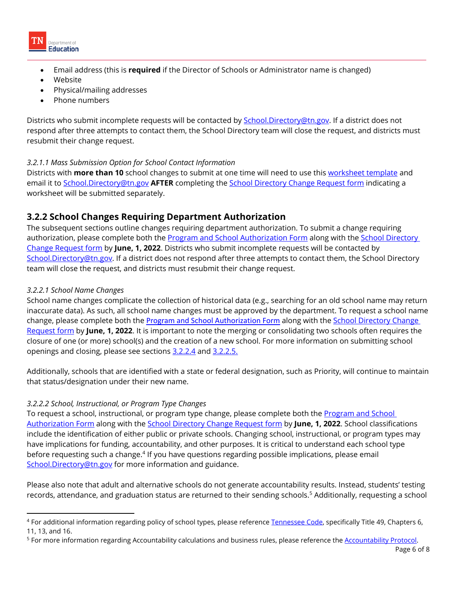<span id="page-5-0"></span>

- Email address (this is **required** if the Director of Schools or Administrator name is changed)
- Website
- Physical/mailing addresses
- Phone numbers

 resubmit their change request. Districts who submit incomplete requests will be contacted by **School.Directory@tn.gov.** If a district does not respond after three attempts to contact them, the School Directory team will close the request, and districts must

#### *3.2.1.1 Mass Submission Option for School Contact Information*

Districts with **more than 10** school changes to submit at one time will need to use this [worksheet template](https://drive.google.com/open?id=17naAklxtUy3Trj4xSwVfPQjuK4edAB5d) and email it to School.Directory@tn.gov **AFTER** completing the [School Directory Change Request form](https://stateoftennessee.formstack.com/forms/school_directory_change_request) indicating a worksheet will be submitted separately.

## **3.2.2 School Changes Requiring Department Authorization**

The subsequent sections outline changes requiring department authorization. To submit a change requiring authorization, please complete both the **Program and School Authorization Form** along with the **School Directory** [Change Request form](https://stateoftennessee.formstack.com/forms/school_directory_change_request) by **June, 1, 2022**. Districts who submit incomplete requests will be contacted by School.Directory@tn.gov. If a district does not respond after three attempts to contact them, the School Directory team will close the request, and districts must resubmit their change request.

#### *3.2.2.1 School Name Changes*

openings and closing, please see sections 3.2.2.4 and 3.2.2.5. School name changes complicate the collection of historical data (e.g., searching for an old school name may return inaccurate data). As such, all school name changes must be approved by the department. To request a school name change, please complete both the [Program and School Authorization Form](https://tn.gov/education/lea-operations/school-directory/program-and-school-authorization-form) along with the [School Directory Change](https://stateoftennessee.formstack.com/forms/school_directory_change_request)  [Request form b](https://stateoftennessee.formstack.com/forms/school_directory_change_request)y **June, 1, 2022**. It is important to note the merging or consolidating two schools often requires the closure of one (or more) school(s) and the creation of a new school. For more information on submitting school

Additionally, schools that are identified with a state or federal designation, such as Priority, will continue to maintain that status/designation under their new name.

### *3.2.2.2 School, Instructional, or Program Type Changes*

To request a school, instructional, or program type change, please complete both the Program and School [Authorization Form](https://tn.gov/education/lea-operations/school-directory/program-and-school-authorization-form) along with the [School Directory Change Request form](https://stateoftennessee.formstack.com/forms/school_directory_change_request) by **June, 1, 2022**. School classifications include the identification of either public or private schools. Changing school, instructional, or program types may have implications for funding, accountability, and other purposes. It is critical to understand each school type before requesting such a change.<sup>4</sup> If you have questions regarding possible implications, please email School.Directory@tn.gov for more information and guidance.

Please also note that adult and alternative schools do not generate accountability results. Instead, students' testing records, attendance, and graduation status are returned to their sending schools.<sup>5</sup> Additionally, requesting a school

<sup>11, 13,</sup> and 16. 4 For additional information regarding policy of school types, please reference [Tennessee Code](https://advance.lexis.com/container/?pdmfid=1000516&crid=aa9ef574-f502-489b-a433-a706a562af67&func=LN.Advance.ContentView.getFullToc&nodeid=ABX&typeofentry=Breadcrumb&config=014CJAA5ZGVhZjA3NS02MmMzLTRlZWQtOGJjNC00YzQ1MmZlNzc2YWYKAFBvZENhdGFsb2e9zYpNUjTRaIWVfyrur9ud&action=publictoc&pddocfullpath=%2Fshared%2Fdocument%2Fstatutes-legislation%2Furn%3AcontentItem%3A5618-6H50-R03M-C17H-00008-00&pdtocfullpath=%2Fshared%2Ftableofcontents%2Furn%3AcontentItem%3A8001-XKW0-Y907-33PJ-00008-00&ecomp=vs6fkkk&prid=1f76d708-6958-49e2-bf74-ce09e328ed40), specifically Title 49, Chapters 6,

<sup>&</sup>lt;sup>5</sup> For more information regarding Accountability calculations and business rules, please reference the [Accountability Protocol.](https://www.tn.gov/content/dam/tn/education/accountability/201920AccountabilityProtocol_Final508.pdf)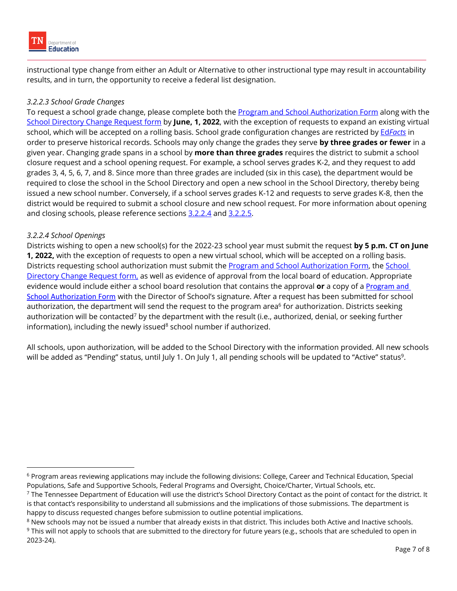<span id="page-6-0"></span>instructional type change from either an Adult or Alternative to other instructional type may result in accountability results, and in turn, the opportunity to receive a federal list designation.

## *3.2.2.3 School Grade Changes*

To request a school grade change, please complete both the [Program and School Authorization Form](https://tn.gov/education/lea-operations/school-directory/program-and-school-authorization-form) along with the [School Directory Change Request form](https://stateoftennessee.formstack.com/forms/school_directory_change_request) by **June, 1, 2022**, with the exception of requests to expand an existing virtual school, which will be accepted on a rolling basis. School grade configuration changes are restricted by Ed*[Facts](https://www2.ed.gov/about/inits/ed/edfacts/index.html)* in order to preserve historical records. Schools may only change the grades they serve **by three grades or fewer** in a given year. Changing grade spans in a school by **more than three grades** requires the district to submit a school closure request and a school opening request. For example, a school serves grades K-2, and they request to add grades 3, 4, 5, 6, 7, and 8. Since more than three grades are included (six in this case), the department would be required to close the school in the School Directory and open a new school in the School Directory, thereby being issued a new school number. Conversely, if a school serves grades K-12 and requests to serve grades K-8, then the district would be required to submit a school closure and new school request. For more information about opening and closing schools, please reference sections 3.2.2.4 and [3.2.2.5](#page-7-0).

### *3.2.2.4 School Openings*

Districts wishing to open a new school(s) for the 2022-23 school year must submit the request **by 5 p.m. CT on June 1, 2022,** with the exception of requests to open a new virtual school, which will be accepted on a rolling basis. Districts requesting school authorization must submit the [Program and School Authorization Form,](https://tn.gov/education/lea-operations/school-directory/program-and-school-authorization-form) the School [Directory Change Request form,](https://stateoftennessee.formstack.com/forms/school_directory_change_request) as well as evidence of approval from the local board of education. Appropriate evidence would include either a school board resolution that contains the approval **or** a copy of a Program and School Authorization Form [with the Director of School's signature. After a request has been submitted for schoo](https://tn.gov/education/lea-operations/school-directory/program-and-school-authorization-form)l authorization, the department will send the request to the program area<sup>6</sup> for authorization. Districts seeking authorization will be contacted<sup>7</sup> by the department with the result (i.e., authorized, denial, or seeking further information), including the newly issued<sup>8</sup> school number if authorized.

All schools, upon authorization, will be added to the School Directory with the information provided. All new schools will be added as "Pending" status, until July 1. On July 1, all pending schools will be updated to "Active" status<sup>9</sup>.

Populations, Safe and Supportive Schools, Federal Programs and Oversight, Choice/Charter, Virtual Schools, etc. 6 Program areas reviewing applications may include the following divisions: College, Career and Technical Education, Special

<sup>&</sup>lt;sup>7</sup> The Tennessee Department of Education will use the district's School Directory Contact as the point of contact for the district. It is that contact's responsibility to understand all submissions and the implications of those submissions. The department is happy to discuss requested changes before submission to outline potential implications.

<sup>2023-24).</sup> <sup>9</sup> This will not apply to schools that are submitted to the directory for future years (e.g., schools that are scheduled to open in 2023-24).<br>Page 7 of 8